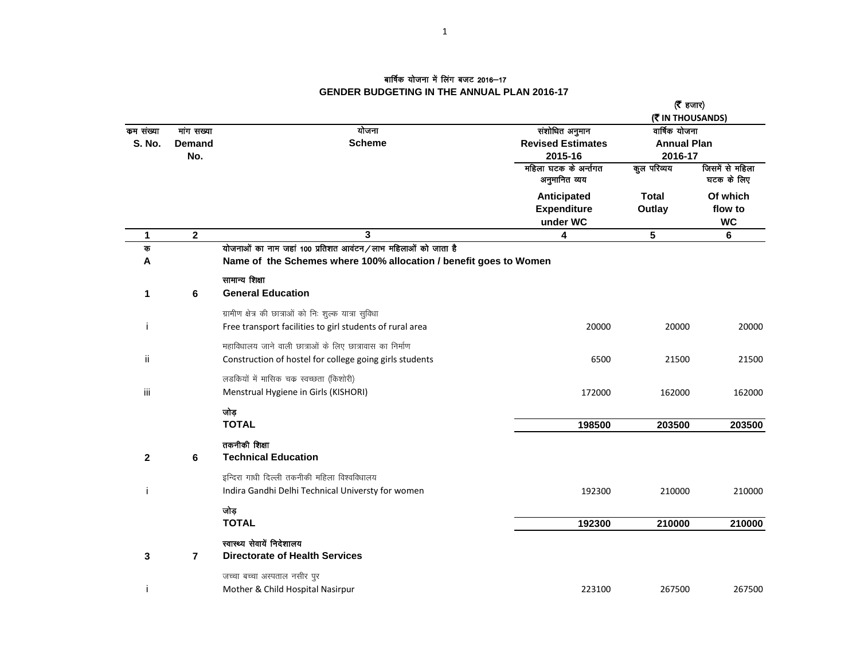## बार्षिक योजना में लिंग बजट 2016—17 **GENDER BUDGETING IN THE ANNUAL PLAN 2016-17**

|                            |                                    |                                                                                                                                   |                                                                                | (रैं हजार)<br>(そ IN THOUSANDS)                                |                                  |
|----------------------------|------------------------------------|-----------------------------------------------------------------------------------------------------------------------------------|--------------------------------------------------------------------------------|---------------------------------------------------------------|----------------------------------|
| कम संख्या<br><b>S. No.</b> | मांग सख्या<br><b>Demand</b><br>No. | योजना<br><b>Scheme</b>                                                                                                            | संशोधित अनुमान<br><b>Revised Estimates</b><br>2015-16<br>महिला घटक के अर्न्तगत | वार्षिक योजना<br><b>Annual Plan</b><br>2016-17<br>कुल परिव्यय | जिसमें से महिला                  |
|                            |                                    |                                                                                                                                   | अनुमानित व्यय                                                                  |                                                               | घटक के लिए                       |
|                            |                                    |                                                                                                                                   | Anticipated<br><b>Expenditure</b><br>under WC                                  | <b>Total</b><br>Outlay                                        | Of which<br>flow to<br><b>WC</b> |
| 1                          | $\overline{2}$                     | 3                                                                                                                                 | 4                                                                              | 5                                                             | 6                                |
| क<br>A                     |                                    | योजनाओं का नाम जहां 100 प्रतिशत आवंटन/लाभ महिलाओं को जाता है<br>Name of the Schemes where 100% allocation / benefit goes to Women |                                                                                |                                                               |                                  |
| 1                          | 6                                  | सामान्य शिक्षा<br><b>General Education</b>                                                                                        |                                                                                |                                                               |                                  |
| i                          |                                    | ग्रामीण क्षेत्र की छात्राओं को निः शुल्क यात्रा सुविधा<br>Free transport facilities to girl students of rural area                | 20000                                                                          | 20000                                                         | 20000                            |
| ii                         |                                    | महाविधालय जाने वाली छात्राओं के लिए छात्रावास का निर्माण<br>Construction of hostel for college going girls students               | 6500                                                                           | 21500                                                         | 21500                            |
| iii                        |                                    | लडकियों में मासिक चक्र स्वच्छता (किशोरी)<br>Menstrual Hygiene in Girls (KISHORI)                                                  | 172000                                                                         | 162000                                                        | 162000                           |
|                            |                                    | जोड़<br><b>TOTAL</b>                                                                                                              | 198500                                                                         | 203500                                                        | 203500                           |
| $\mathbf{2}$               | 6                                  | तकनीकी शिक्षा<br><b>Technical Education</b>                                                                                       |                                                                                |                                                               |                                  |
| j                          |                                    | इन्दिरा गाधी दिल्ली तकनीकी महिला विश्वविधालय<br>Indira Gandhi Delhi Technical Universty for women                                 | 192300                                                                         | 210000                                                        | 210000                           |
|                            |                                    | जोड़<br><b>TOTAL</b>                                                                                                              | 192300                                                                         | 210000                                                        | 210000                           |
| 3                          | $\overline{7}$                     | स्वास्थ्य सेवायें निदेशालय<br><b>Directorate of Health Services</b>                                                               |                                                                                |                                                               |                                  |
| i                          |                                    | जच्चा बच्चा अस्पताल नसीर पुर<br>Mother & Child Hospital Nasirpur                                                                  | 223100                                                                         | 267500                                                        | 267500                           |
|                            |                                    |                                                                                                                                   |                                                                                |                                                               |                                  |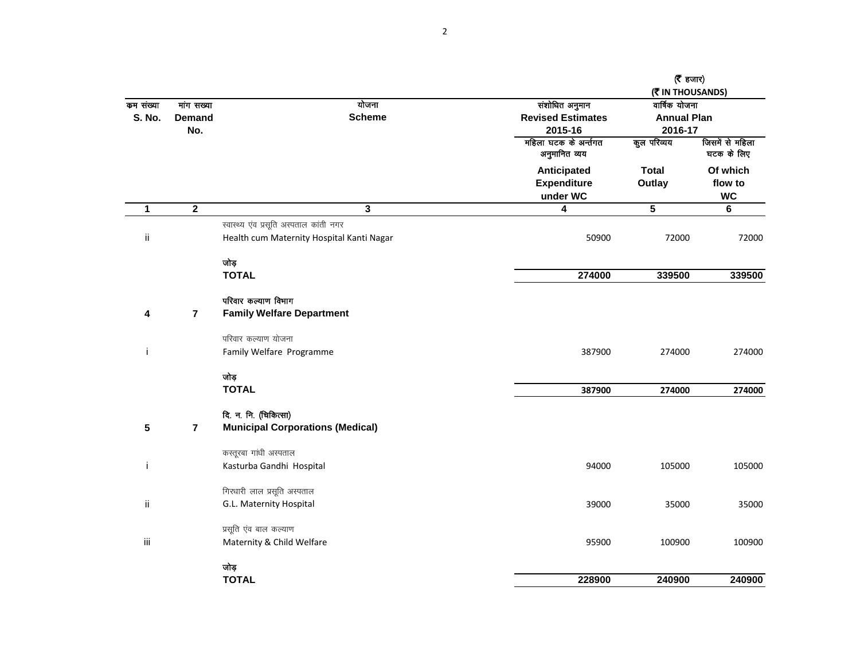|               |                         |                                           |                                               | ( $\bar{\epsilon}$ हजार)          |                                  |
|---------------|-------------------------|-------------------------------------------|-----------------------------------------------|-----------------------------------|----------------------------------|
| कम संख्या     | गांग सख्या              | योजना                                     | संशोधित अनुमान                                | (そ IN THOUSANDS)<br>वार्षिक योजना |                                  |
| <b>S. No.</b> | Demand                  | <b>Scheme</b>                             | <b>Revised Estimates</b>                      | <b>Annual Plan</b>                |                                  |
|               | No.                     |                                           | 2015-16                                       | 2016-17                           |                                  |
|               |                         |                                           | महिला घटक के अर्न्तगत<br>अनुमानित व्यय        | कुल परिव्यय                       | जिसमें से महिला<br>घटक के लिए    |
|               |                         |                                           | Anticipated<br><b>Expenditure</b><br>under WC | <b>Total</b><br>Outlay            | Of which<br>flow to<br><b>WC</b> |
| 1             | $\overline{\mathbf{2}}$ | $\overline{\mathbf{3}}$                   | 4                                             | $\overline{\mathbf{5}}$           | $\bf 6$                          |
|               |                         | स्वास्थ्य एंव प्रसूति अस्पताल कांती नगर   |                                               |                                   |                                  |
| ij.           |                         | Health cum Maternity Hospital Kanti Nagar | 50900                                         | 72000                             | 72000                            |
|               |                         | जोड़                                      |                                               |                                   |                                  |
|               |                         | <b>TOTAL</b>                              | 274000                                        | 339500                            | 339500                           |
|               |                         | परिवार कल्याण विभाग                       |                                               |                                   |                                  |
| 4             | $\overline{7}$          | <b>Family Welfare Department</b>          |                                               |                                   |                                  |
|               |                         | परिवार कल्याण योजना                       |                                               |                                   |                                  |
| j             |                         | Family Welfare Programme                  | 387900                                        | 274000                            | 274000                           |
|               |                         | जोड़                                      |                                               |                                   |                                  |
|               |                         | <b>TOTAL</b>                              | 387900                                        | 274000                            | 274000                           |
|               |                         | दि. न. नि. (चिकित्सा)                     |                                               |                                   |                                  |
| 5             | $\overline{7}$          | <b>Municipal Corporations (Medical)</b>   |                                               |                                   |                                  |
|               |                         | कस्तूरबा गांधी अस्पताल                    |                                               |                                   |                                  |
| j             |                         | Kasturba Gandhi Hospital                  | 94000                                         | 105000                            | 105000                           |
|               |                         | गिरधारी लाल प्रसूति अस्पताल               |                                               |                                   |                                  |
| ij.           |                         | G.L. Maternity Hospital                   | 39000                                         | 35000                             | 35000                            |
|               |                         | प्रसूति एंव बाल कल्याण                    |                                               |                                   |                                  |
| Ϊİ            |                         | Maternity & Child Welfare                 | 95900                                         | 100900                            | 100900                           |
|               |                         | जोड़                                      |                                               |                                   |                                  |
|               |                         | <b>TOTAL</b>                              | 228900                                        | 240900                            | 240900                           |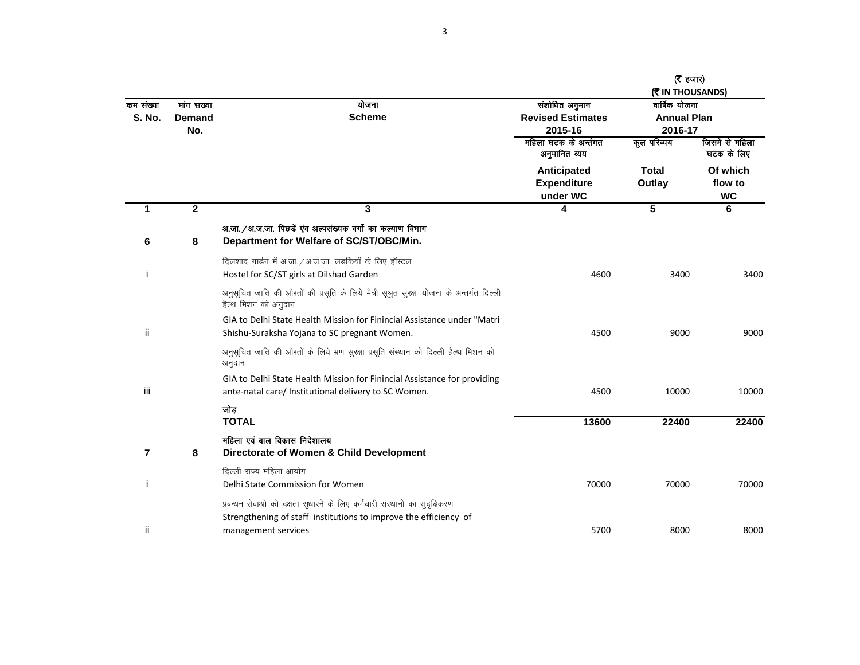| कम संख्या<br><b>S. No.</b> | गांग सख्या<br><b>Demand</b><br>No. | योजना<br><b>Scheme</b>                                                                                                                                            | संशोधित अनुमान<br><b>Revised Estimates</b><br>2015-16 | ( $\bar{\epsilon}$ हजार)<br>(WIN THOUSANDS)<br>वार्षिक योजना<br><b>Annual Plan</b><br>2016-17 |                                  |
|----------------------------|------------------------------------|-------------------------------------------------------------------------------------------------------------------------------------------------------------------|-------------------------------------------------------|-----------------------------------------------------------------------------------------------|----------------------------------|
|                            |                                    |                                                                                                                                                                   | महिला घटक के अर्न्तगत<br>अनुमानित व्यय                | कुल परिव्यय                                                                                   | जिसमें से महिला<br>घटक के लिए    |
|                            |                                    |                                                                                                                                                                   | Anticipated<br><b>Expenditure</b><br>under WC         | <b>Total</b><br>Outlay                                                                        | Of which<br>flow to<br><b>WC</b> |
| 1                          | $\mathbf{2}$                       | 3                                                                                                                                                                 | 4                                                     | 5                                                                                             | 6                                |
| 6                          | 8                                  | अ.जा. / अ.ज.जा. पिछडें एंव अल्पसंख्यक वर्गो का कल्याण विभाग<br>Department for Welfare of SC/ST/OBC/Min.                                                           |                                                       |                                                                                               |                                  |
| Ť                          |                                    | दिलशाद गार्डन में अ.जा. / अ.ज.जा. लडकियों के लिए हॉस्टल<br>Hostel for SC/ST girls at Dilshad Garden                                                               | 4600                                                  | 3400                                                                                          | 3400                             |
|                            |                                    | अनुसूचित जाति की औरतों की प्रसूति के लिये मैत्री सूश्रुत सुरक्षा योजना के अन्तर्गत दिल्ली<br>हैल्थ मिशन को अनुदान                                                 |                                                       |                                                                                               |                                  |
|                            |                                    | GIA to Delhi State Health Mission for Finincial Assistance under "Matri                                                                                           |                                                       |                                                                                               |                                  |
| ii.                        |                                    | Shishu-Suraksha Yojana to SC pregnant Women.                                                                                                                      | 4500                                                  | 9000                                                                                          | 9000                             |
|                            |                                    | अनुसूचित जाति की औरतों के लिये भ्रण सुरक्षा प्रसूति संस्थान को दिल्ली हैल्थ मिशन को<br>अनुदान                                                                     |                                                       |                                                                                               |                                  |
| iii.                       |                                    | GIA to Delhi State Health Mission for Finincial Assistance for providing<br>ante-natal care/ Institutional delivery to SC Women.                                  | 4500                                                  | 10000                                                                                         | 10000                            |
|                            |                                    | जोड़<br><b>TOTAL</b>                                                                                                                                              | 13600                                                 | 22400                                                                                         | 22400                            |
| 7                          | 8                                  | महिला एवं बाल विकास निदेशालय<br>Directorate of Women & Child Development                                                                                          |                                                       |                                                                                               |                                  |
| Ť                          |                                    | दिल्ली राज्य महिला आयोग<br>Delhi State Commission for Women                                                                                                       | 70000                                                 | 70000                                                                                         | 70000                            |
| ii                         |                                    | प्रबन्धन सेवाओ की दक्षता सुधारने के लिए कर्मचारी संस्थानो का सुदृढिकरण<br>Strengthening of staff institutions to improve the efficiency of<br>management services | 5700                                                  | 8000                                                                                          | 8000                             |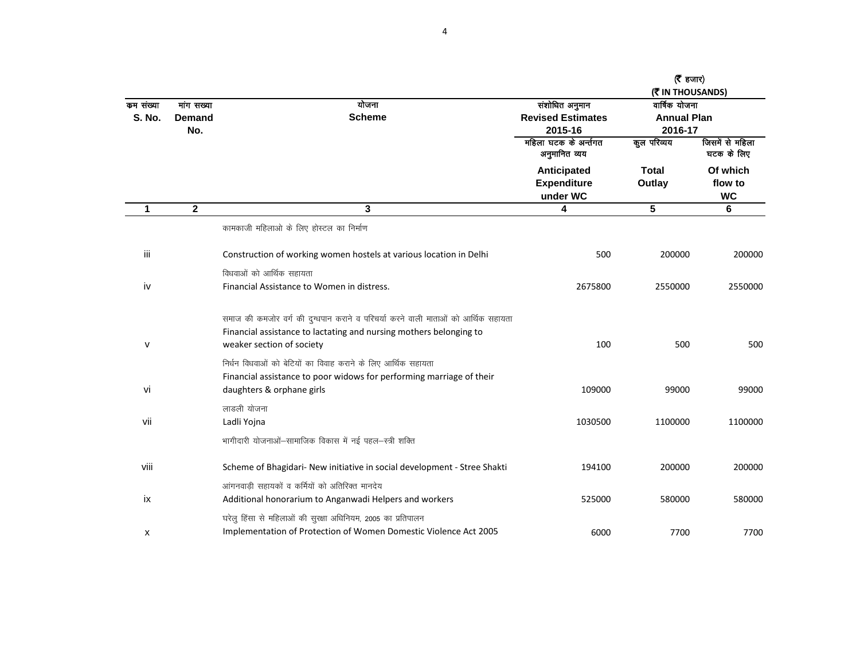| कम संख्या<br><b>S. No.</b> | गांग सख्या<br><b>Demand</b><br>No. | योजना<br><b>Scheme</b>                                                            | संशोधित अनुमान<br><b>Revised Estimates</b><br>2015-16 | ( $\bar{\epsilon}$ हजार)<br>(₹ IN THOUSANDS)<br>वार्षिक योजना<br><b>Annual Plan</b><br>2016-17 |                                  |
|----------------------------|------------------------------------|-----------------------------------------------------------------------------------|-------------------------------------------------------|------------------------------------------------------------------------------------------------|----------------------------------|
|                            |                                    |                                                                                   | महिला घटक के अर्न्तगत<br>अनुमानित व्यय                | कूल परिव्यय                                                                                    | जिसमें से महिला<br>घटक के लिए    |
|                            |                                    |                                                                                   | Anticipated<br><b>Expenditure</b><br>under WC         | <b>Total</b><br>Outlay                                                                         | Of which<br>flow to<br><b>WC</b> |
| 1                          | $\mathbf{2}$                       | 3                                                                                 | 4                                                     | $5\phantom{1}$                                                                                 | 6                                |
|                            |                                    | कामकाजी महिलाओ के लिए होस्टल का निर्माण                                           |                                                       |                                                                                                |                                  |
| iii                        |                                    | Construction of working women hostels at various location in Delhi                | 500                                                   | 200000                                                                                         | 200000                           |
|                            |                                    | विधवाओं को आर्थिक सहायता                                                          |                                                       |                                                                                                |                                  |
| iv                         |                                    | Financial Assistance to Women in distress.                                        | 2675800                                               | 2550000                                                                                        | 2550000                          |
|                            |                                    | समाज की कमजोर वर्ग की दुग्धपान कराने व परिचर्या करने वाली माताओं को आर्थिक सहायता |                                                       |                                                                                                |                                  |
|                            |                                    | Financial assistance to lactating and nursing mothers belonging to                |                                                       |                                                                                                |                                  |
| V                          |                                    | weaker section of society                                                         | 100                                                   | 500                                                                                            | 500                              |
|                            |                                    | निर्धन विधवाओं को बेटियों का विवाह कराने के लिए आर्थिक सहायता                     |                                                       |                                                                                                |                                  |
|                            |                                    | Financial assistance to poor widows for performing marriage of their              |                                                       |                                                                                                |                                  |
| vi                         |                                    | daughters & orphane girls                                                         | 109000                                                | 99000                                                                                          | 99000                            |
|                            |                                    | लाडली योजना                                                                       |                                                       |                                                                                                |                                  |
| vii                        |                                    | Ladli Yojna                                                                       | 1030500                                               | 1100000                                                                                        | 1100000                          |
|                            |                                    | भागीदारी योजनाओं-सामाजिक विकास में नई पहल-स्त्री शक्ति                            |                                                       |                                                                                                |                                  |
| viii                       |                                    | Scheme of Bhagidari- New initiative in social development - Stree Shakti          | 194100                                                | 200000                                                                                         | 200000                           |
|                            |                                    | आंगनवाड़ी सहायकों व कर्मियों को अतिरिक्त मानदेय                                   |                                                       |                                                                                                |                                  |
| ix                         |                                    | Additional honorarium to Anganwadi Helpers and workers                            | 525000                                                | 580000                                                                                         | 580000                           |
|                            |                                    | घरेलु हिंसा से महिलाओं की सुरक्षा अधिनियम, 2005 का प्रतिपालन                      |                                                       |                                                                                                |                                  |
| x                          |                                    | Implementation of Protection of Women Domestic Violence Act 2005                  | 6000                                                  | 7700                                                                                           | 7700                             |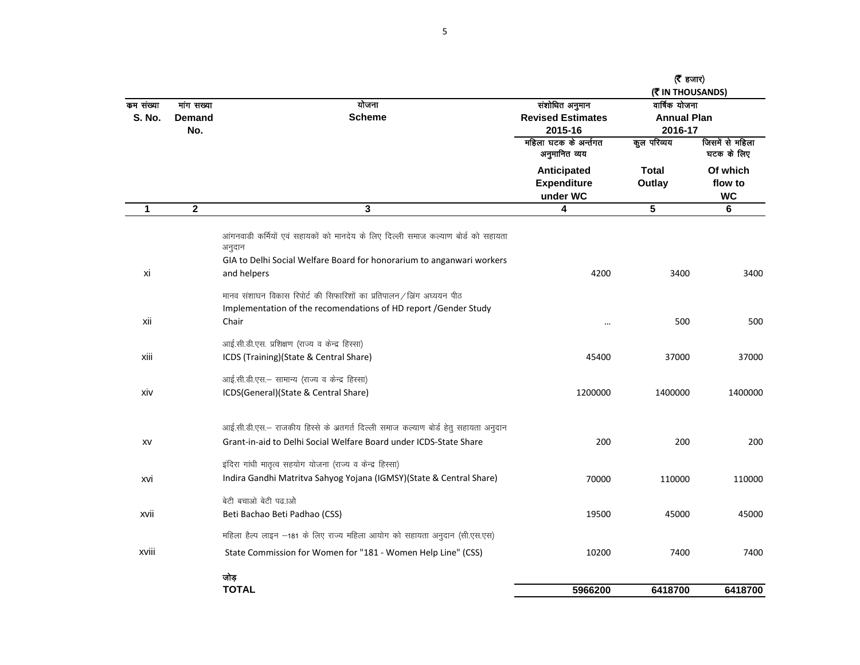|                            |                             |                                                                                                                                                                                     |                                                       | (रैं हजार)<br>(MITHOUSANDS)                    |                                  |
|----------------------------|-----------------------------|-------------------------------------------------------------------------------------------------------------------------------------------------------------------------------------|-------------------------------------------------------|------------------------------------------------|----------------------------------|
| कम संख्या<br><b>S. No.</b> | गांग सख्या<br>Demand<br>No. | योजना<br><b>Scheme</b>                                                                                                                                                              | संशोधित अनुमान<br><b>Revised Estimates</b><br>2015-16 | वार्षिक योजना<br><b>Annual Plan</b><br>2016-17 |                                  |
|                            |                             |                                                                                                                                                                                     | महिला घटक के अर्न्तगत<br>अनुमानित व्यय                | कुल परिव्यय                                    | जिसमें से महिला<br>घटक के लिए    |
|                            |                             |                                                                                                                                                                                     | Anticipated<br><b>Expenditure</b><br>under WC         | Total<br>Outlay                                | Of which<br>flow to<br><b>WC</b> |
| 1                          | $\mathbf 2$                 | $\overline{\mathbf{3}}$                                                                                                                                                             | 4                                                     | 5                                              | 6                                |
| xi                         |                             | आंगनवाडी कर्मियों एवं सहायकों को मानदेय के लिए दिल्ली समाज कल्याण बोर्ड को सहायता<br>अनुदान<br>GIA to Delhi Social Welfare Board for honorarium to anganwari workers<br>and helpers | 4200                                                  | 3400                                           | 3400                             |
|                            |                             | मानव संशाघन विकास रिपोर्ट की सिफारिशों का प्रतिपालन / ब्रिंग अध्ययन पीठ<br>Implementation of the recomendations of HD report /Gender Study                                          |                                                       |                                                |                                  |
| xii                        |                             | Chair                                                                                                                                                                               |                                                       | 500                                            | 500                              |
| xiii                       |                             | आई.सी.डी.एस. प्रशिक्षण (राज्य व केन्द्र हिस्सा)<br>ICDS (Training)(State & Central Share)                                                                                           | 45400                                                 | 37000                                          | 37000                            |
| xiv                        |                             | आई.सी.डी.एस.- सामान्य (राज्य व केन्द्र हिस्सा)<br>ICDS(General)(State & Central Share)                                                                                              | 1200000                                               | 1400000                                        | 1400000                          |
| XV                         |                             | आई.सी.डी.एस.– राजकीय हिस्से के अतगर्त दिल्ली समाज कल्याण बोर्ड हेतु सहायता अनुदान<br>Grant-in-aid to Delhi Social Welfare Board under ICDS-State Share                              | 200                                                   | 200                                            | 200                              |
| xvi                        |                             | इंदिरा गांधी मातृत्व सहयोग योजना (राज्य व केन्द्र हिस्सा)<br>Indira Gandhi Matritva Sahyog Yojana (IGMSY)(State & Central Share)                                                    | 70000                                                 | 110000                                         | 110000                           |
| xvii                       |                             | बेटी बचाओ बेटी पढ़.ाओ<br>Beti Bachao Beti Padhao (CSS)                                                                                                                              | 19500                                                 | 45000                                          | 45000                            |
|                            |                             | महिला हैल्प लाइन -181 के लिए राज्य महिला आयोग को सहायता अनुदान (सी.एस.एस)                                                                                                           |                                                       |                                                |                                  |
| xviii                      |                             | State Commission for Women for "181 - Women Help Line" (CSS)                                                                                                                        | 10200                                                 | 7400                                           | 7400                             |
|                            |                             | जोड़<br><b>TOTAL</b>                                                                                                                                                                | 5966200                                               | 6418700                                        | 6418700                          |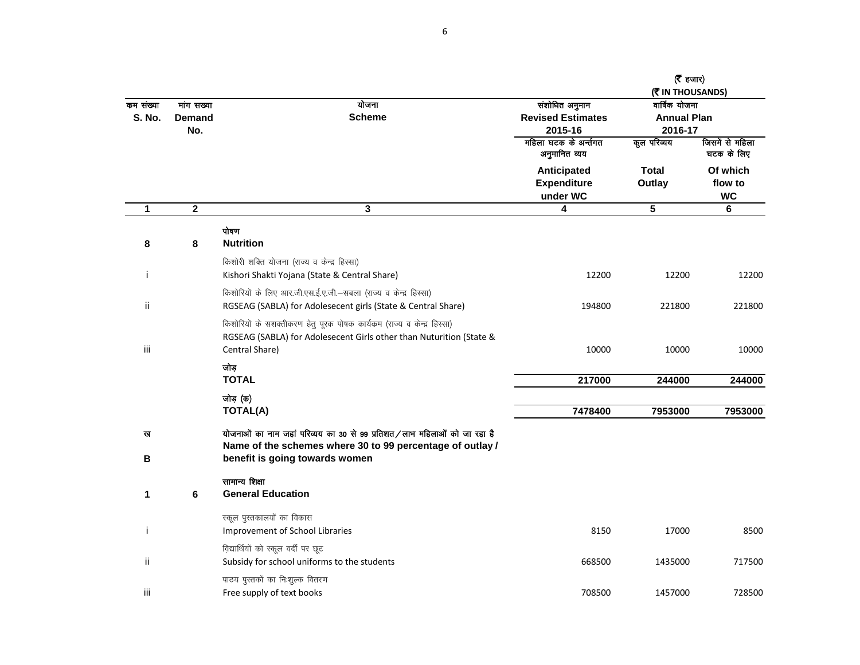|                            |                             |                                                                                                                                                                   |                                                       | (रैं हजार)<br>(そ IN THOUSANDS)                 |                                  |
|----------------------------|-----------------------------|-------------------------------------------------------------------------------------------------------------------------------------------------------------------|-------------------------------------------------------|------------------------------------------------|----------------------------------|
| कम संख्या<br><b>S. No.</b> | गांग सख्या<br>Demand<br>No. | योजना<br><b>Scheme</b>                                                                                                                                            | संशोधित अनुमान<br><b>Revised Estimates</b><br>2015-16 | वार्षिक योजना<br><b>Annual Plan</b><br>2016-17 |                                  |
|                            |                             |                                                                                                                                                                   | महिला घटक के अर्न्तगत<br>अनुमानित व्यय                | कुल परिव्यय                                    | जिसमें से महिला<br>घटक के लिए    |
|                            |                             |                                                                                                                                                                   | Anticipated<br><b>Expenditure</b><br>under WC         | <b>Total</b><br>Outlay                         | Of which<br>flow to<br><b>WC</b> |
| $\mathbf{1}$               | $\overline{\mathbf{2}}$     | 3                                                                                                                                                                 | 4                                                     | $5\phantom{.0}$                                | 6                                |
| 8                          | 8                           | पोषण<br><b>Nutrition</b>                                                                                                                                          |                                                       |                                                |                                  |
| Ť                          |                             | किशोरी शक्ति योजना (राज्य व केन्द्र हिस्सा)<br>Kishori Shakti Yojana (State & Central Share)                                                                      | 12200                                                 | 12200                                          | 12200                            |
| ij.                        |                             | किशोरियों के लिए आर.जी.एस.ई.ए.जी.–सबला (राज्य व केन्द्र हिस्सा)<br>RGSEAG (SABLA) for Adolesecent girls (State & Central Share)                                   | 194800                                                | 221800                                         | 221800                           |
| iii                        |                             | किशोरियों के सशक्तीकरण हेतु पूरक पोषक कार्यक्रम (राज्य व केन्द्र हिस्सा)<br>RGSEAG (SABLA) for Adolesecent Girls other than Nuturition (State &<br>Central Share) | 10000                                                 | 10000                                          | 10000                            |
|                            |                             | जोड<br><b>TOTAL</b>                                                                                                                                               | 217000                                                | 244000                                         | 244000                           |
|                            |                             | जोड़ (क)<br><b>TOTAL(A)</b>                                                                                                                                       | 7478400                                               | 7953000                                        | 7953000                          |
| ख                          |                             | योजनाओं का नाम जहां परिव्यय का 30 से 99 प्रतिशत/लाभ महिलाओं को जा रहा है<br>Name of the schemes where 30 to 99 percentage of outlay /                             |                                                       |                                                |                                  |
| В                          |                             | benefit is going towards women                                                                                                                                    |                                                       |                                                |                                  |
| 1                          | 6                           | सामान्य शिक्षा<br><b>General Education</b>                                                                                                                        |                                                       |                                                |                                  |
| j.                         |                             | स्कूल पुस्तकालयों का विकास<br>Improvement of School Libraries                                                                                                     | 8150                                                  | 17000                                          | 8500                             |
| ij.                        |                             | विद्यार्थियों को स्कूल वर्दी पर छूट<br>Subsidy for school uniforms to the students                                                                                | 668500                                                | 1435000                                        | 717500                           |
| iii                        |                             | पाठय पुस्तकों का निःशुल्क वितरण<br>Free supply of text books                                                                                                      | 708500                                                | 1457000                                        | 728500                           |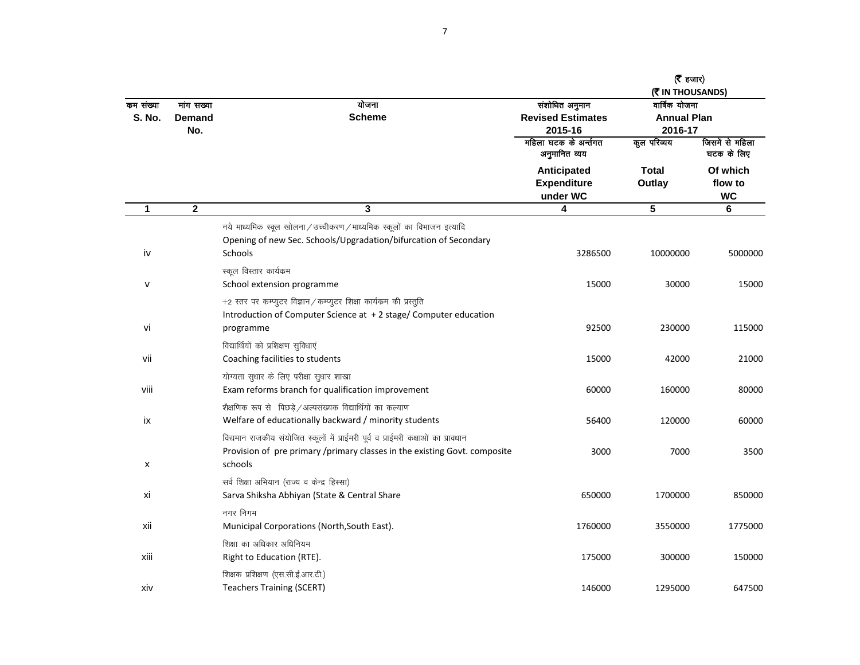|                            |                                    |                                                                                                                                                                           |                                                       | (रैं हजार)<br>( THOUSANDS)                     |                                  |
|----------------------------|------------------------------------|---------------------------------------------------------------------------------------------------------------------------------------------------------------------------|-------------------------------------------------------|------------------------------------------------|----------------------------------|
| कम संख्या<br><b>S. No.</b> | गांग सख्या<br><b>Demand</b><br>No. | योजना<br><b>Scheme</b>                                                                                                                                                    | संशोधित अनुमान<br><b>Revised Estimates</b><br>2015-16 | वार्षिक योजना<br><b>Annual Plan</b><br>2016-17 |                                  |
|                            |                                    |                                                                                                                                                                           | महिला घटक के अर्न्तगत<br>अनुमानित व्यय                | कुल परिव्यय                                    | जिसमें से महिला<br>घटक के लिए    |
|                            |                                    |                                                                                                                                                                           | Anticipated<br><b>Expenditure</b><br>under WC         | <b>Total</b><br>Outlay                         | Of which<br>flow to<br><b>WC</b> |
| $\mathbf{1}$               | $\mathbf{2}$                       | 3                                                                                                                                                                         | 4                                                     | $\overline{5}$                                 | 6                                |
| iv                         |                                    | नये माध्यमिक स्कूल खोलना/उच्चीकरण/माध्यमिक स्कूलों का विभाजन इत्यादि<br>Opening of new Sec. Schools/Upgradation/bifurcation of Secondary<br>Schools                       | 3286500                                               | 10000000                                       | 5000000                          |
| ٧                          |                                    | स्कूल विस्तार कार्यक्रम<br>School extension programme                                                                                                                     | 15000                                                 | 30000                                          | 15000                            |
| vi                         |                                    | +2 स्तर पर कम्प्युटर विज्ञान / कम्प्युटर शिक्षा कार्यक्रम की प्रस्तुति<br>Introduction of Computer Science at +2 stage/ Computer education<br>programme                   | 92500                                                 | 230000                                         | 115000                           |
| vii                        |                                    | विद्यार्थियों को प्रशिक्षण सुविधाएं<br>Coaching facilities to students                                                                                                    | 15000                                                 | 42000                                          | 21000                            |
| viii                       |                                    | योग्यता सुधार के लिए परीक्षा सुधार शाखा<br>Exam reforms branch for qualification improvement                                                                              | 60000                                                 | 160000                                         | 80000                            |
| ix                         |                                    | शैक्षणिक रूप से पिछड़े /अल्पसंख्यक विद्यार्थियों का कल्याण<br>Welfare of educationally backward / minority students                                                       | 56400                                                 | 120000                                         | 60000                            |
| X                          |                                    | विद्यमान राजकीय संयोजित स्कूलों में प्राईमरी पूर्व व प्राईमरी कक्षाओं का प्रावधान<br>Provision of pre primary /primary classes in the existing Govt. composite<br>schools | 3000                                                  | 7000                                           | 3500                             |
| xi                         |                                    | सर्व शिक्षा अभियान (राज्य व केन्द्र हिस्सा)<br>Sarva Shiksha Abhiyan (State & Central Share                                                                               | 650000                                                | 1700000                                        | 850000                           |
| xii                        |                                    | नगर निगम<br>Municipal Corporations (North, South East).                                                                                                                   | 1760000                                               | 3550000                                        | 1775000                          |
| xiii                       |                                    | शिक्षा का अधिकार अधिनियम<br>Right to Education (RTE).                                                                                                                     | 175000                                                | 300000                                         | 150000                           |
| xiv                        |                                    | शिक्षक प्रशिक्षण (एस.सी.ई.आर.टी.)<br><b>Teachers Training (SCERT)</b>                                                                                                     | 146000                                                | 1295000                                        | 647500                           |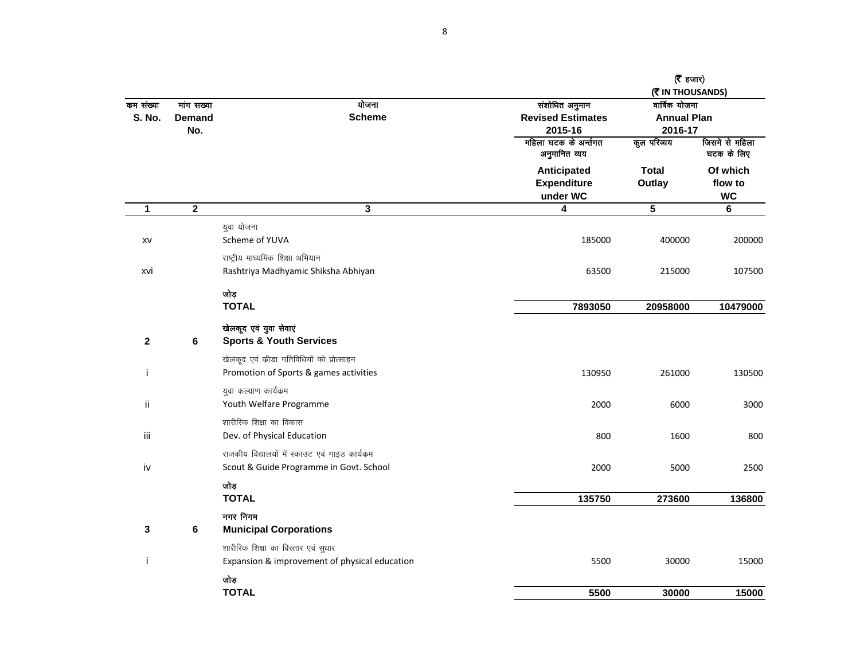|                            |                             |                                                 |                                                       | ( $\bar{\epsilon}$ हजार)<br>(そ IN THOUSANDS)   |                                  |  |
|----------------------------|-----------------------------|-------------------------------------------------|-------------------------------------------------------|------------------------------------------------|----------------------------------|--|
| कम संख्या<br><b>S. No.</b> | गांग सख्या<br><b>Demand</b> | योजना<br><b>Scheme</b><br>No.                   | संशोधित अनुमान<br><b>Revised Estimates</b><br>2015-16 | वार्षिक योजना<br><b>Annual Plan</b><br>2016-17 |                                  |  |
|                            |                             |                                                 | महिला घटक के अर्न्तगत<br>अनुमानित व्यय                | कुल परिव्यय                                    | जिसमें से महिला<br>घटक के लिए    |  |
|                            |                             |                                                 | Anticipated<br><b>Expenditure</b><br>under WC         | <b>Total</b><br>Outlay                         | Of which<br>flow to<br><b>WC</b> |  |
| $\mathbf{1}$               | $\mathbf{2}$                | $\overline{\mathbf{3}}$                         | 4                                                     | $\overline{\mathbf{5}}$                        | 6                                |  |
|                            |                             | युवा योजना                                      |                                                       |                                                |                                  |  |
| XV                         |                             | Scheme of YUVA                                  | 185000                                                | 400000                                         | 200000                           |  |
|                            |                             | राष्ट्रीय माघ्यमिक शिक्षा अभियान                |                                                       |                                                |                                  |  |
| xvi                        |                             | Rashtriya Madhyamic Shiksha Abhiyan             | 63500                                                 | 215000                                         | 107500                           |  |
|                            |                             | जोड़                                            |                                                       |                                                |                                  |  |
|                            |                             | <b>TOTAL</b>                                    | 7893050                                               | 20958000                                       | 10479000                         |  |
|                            |                             | खेलकूद एवं युवा सेवाएं                          |                                                       |                                                |                                  |  |
| $\mathbf{2}$               | 6                           | <b>Sports &amp; Youth Services</b>              |                                                       |                                                |                                  |  |
|                            |                             | खेलकूद एवं कीडा गतिविधियों को प्रोत्साहन        |                                                       |                                                |                                  |  |
| ÷                          |                             | Promotion of Sports & games activities          | 130950                                                | 261000                                         | 130500                           |  |
|                            |                             | युवा कल्याण कार्यक्रम                           |                                                       |                                                |                                  |  |
| ij.                        |                             | Youth Welfare Programme                         | 2000                                                  | 6000                                           | 3000                             |  |
|                            |                             | शारीरिक शिक्षा का विकास                         |                                                       |                                                |                                  |  |
| iii                        |                             | Dev. of Physical Education                      | 800                                                   | 1600                                           | 800                              |  |
|                            |                             | राजकीय विद्यालयों में स्काउट एवं गाइड कार्यक्रम |                                                       |                                                |                                  |  |
| iv                         |                             | Scout & Guide Programme in Govt. School         | 2000                                                  | 5000                                           | 2500                             |  |
|                            |                             | जोड़                                            |                                                       |                                                |                                  |  |
|                            |                             | <b>TOTAL</b>                                    | 135750                                                | 273600                                         | 136800                           |  |
| 3                          | 6                           | नगर निगम<br><b>Municipal Corporations</b>       |                                                       |                                                |                                  |  |
|                            |                             | शारीरिक शिक्षा का विस्तार एवं सुधार             |                                                       |                                                |                                  |  |
| ÷                          |                             | Expansion & improvement of physical education   | 5500                                                  | 30000                                          | 15000                            |  |
|                            |                             | जोड़                                            |                                                       |                                                |                                  |  |
|                            |                             | <b>TOTAL</b>                                    | 5500                                                  | 30000                                          | 15000                            |  |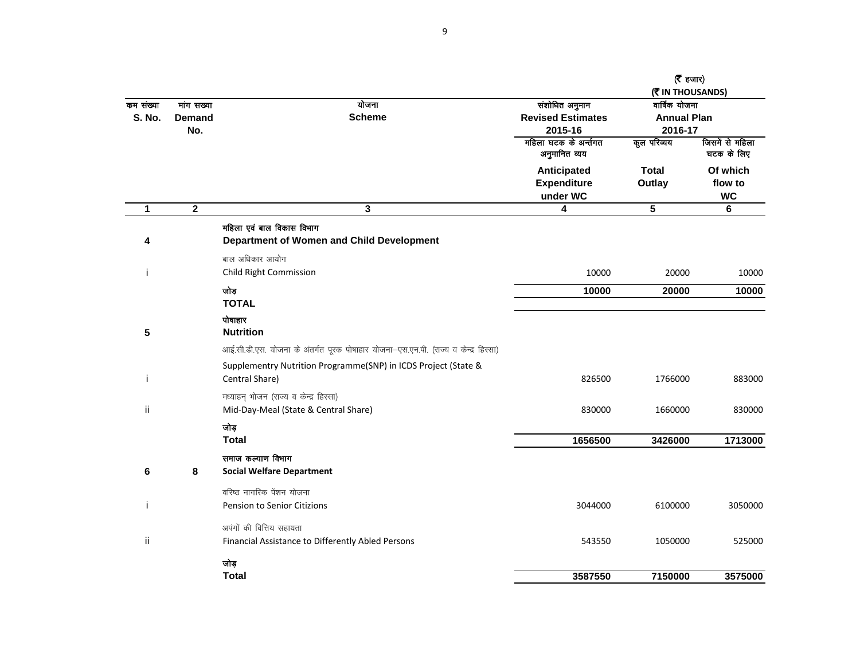|               |                  |                                                                                     |                                               | ( $\bar{\tau}$ हजार)<br>(そ IN THOUSANDS) |                                  |  |
|---------------|------------------|-------------------------------------------------------------------------------------|-----------------------------------------------|------------------------------------------|----------------------------------|--|
| कम संख्या     | गांग सख्या       | योजना                                                                               | संशोधित अनुमान                                | वार्षिक योजना                            |                                  |  |
| <b>S. No.</b> | <b>Demand</b>    | <b>Scheme</b>                                                                       | <b>Revised Estimates</b>                      | <b>Annual Plan</b>                       |                                  |  |
|               | No.              |                                                                                     | 2015-16                                       | 2016-17                                  |                                  |  |
|               |                  |                                                                                     | महिला घटक के अर्न्तगत<br>अनुमानित व्यय        | कुल परिव्यय                              | जिसमें से महिला<br>घटक के लिए    |  |
|               |                  |                                                                                     | Anticipated<br><b>Expenditure</b><br>under WC | <b>Total</b><br>Outlay                   | Of which<br>flow to<br><b>WC</b> |  |
| 1             | $\boldsymbol{2}$ | 3                                                                                   | 4                                             | 5                                        | 6                                |  |
| 4             |                  | महिला एवं बाल विकास विभाग<br>Department of Women and Child Development              |                                               |                                          |                                  |  |
| j             |                  | बाल अधिकार आयोग<br>Child Right Commission                                           | 10000                                         | 20000                                    | 10000                            |  |
|               |                  | जोड़<br><b>TOTAL</b>                                                                | 10000                                         | 20000                                    | 10000                            |  |
| 5             |                  | पोषाहार<br><b>Nutrition</b>                                                         |                                               |                                          |                                  |  |
|               |                  | आई.सी.डी.एस. योजना के अंतर्गत पूरक पोषाहार योजना-एस.एन.पी. (राज्य व केन्द्र हिस्सा) |                                               |                                          |                                  |  |
|               |                  | Supplementry Nutrition Programme(SNP) in ICDS Project (State &                      |                                               |                                          |                                  |  |
| ÷             |                  | Central Share)                                                                      | 826500                                        | 1766000                                  | 883000                           |  |
|               |                  | मध्याहन् भोजन (राज्य व केन्द्र हिस्सा)                                              |                                               |                                          |                                  |  |
| ii            |                  | Mid-Day-Meal (State & Central Share)                                                | 830000                                        | 1660000                                  | 830000                           |  |
|               |                  | जोड़                                                                                |                                               |                                          |                                  |  |
|               |                  | <b>Total</b>                                                                        | 1656500                                       | 3426000                                  | 1713000                          |  |
|               |                  | समाज कल्याण विभाग                                                                   |                                               |                                          |                                  |  |
| 6             | 8                | <b>Social Welfare Department</b>                                                    |                                               |                                          |                                  |  |
|               |                  | वरिष्ठ नागरिक पेंशन योजना                                                           |                                               |                                          |                                  |  |
| j             |                  | Pension to Senior Citizions                                                         | 3044000                                       | 6100000                                  | 3050000                          |  |
|               |                  | अपंगों की वित्तिय सहायता                                                            |                                               |                                          |                                  |  |
| ii            |                  | Financial Assistance to Differently Abled Persons                                   | 543550                                        | 1050000                                  | 525000                           |  |
|               |                  | जोड़                                                                                |                                               |                                          |                                  |  |
|               |                  | <b>Total</b>                                                                        | 3587550                                       | 7150000                                  | 3575000                          |  |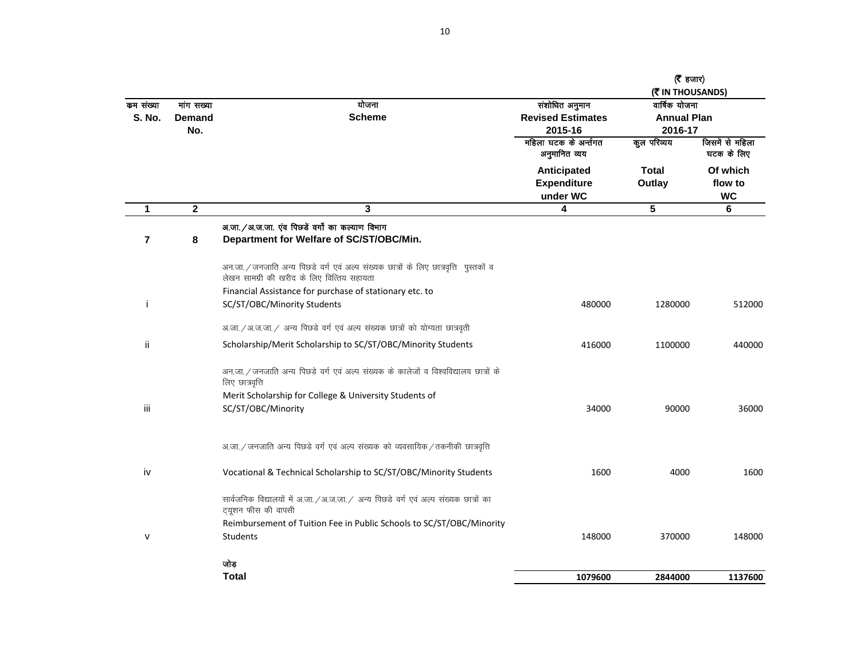|                            |                                    |                                                                                                                                     |                                                       | $(5 \text{ s})$<br>(そ IN THOUSANDS)            |                                  |
|----------------------------|------------------------------------|-------------------------------------------------------------------------------------------------------------------------------------|-------------------------------------------------------|------------------------------------------------|----------------------------------|
| कम संख्या<br><b>S. No.</b> | गांग सख्या<br><b>Demand</b><br>No. | योजना<br><b>Scheme</b>                                                                                                              | संशोधित अनुमान<br><b>Revised Estimates</b><br>2015-16 | वार्षिक योजना<br><b>Annual Plan</b><br>2016-17 |                                  |
|                            |                                    |                                                                                                                                     | महिला घटक के अर्न्तगत<br>अनुमानित व्यय                | कुल परिव्यय                                    | जिसमें से महिला<br>घटक के लिए    |
|                            |                                    |                                                                                                                                     | Anticipated<br><b>Expenditure</b><br>under WC         | <b>Total</b><br>Outlay                         | Of which<br>flow to<br><b>WC</b> |
| 1                          | $\mathbf 2$                        | 3                                                                                                                                   | 4                                                     | $\overline{\mathbf{5}}$                        | 6                                |
| $\overline{7}$             | 8                                  | अ.जा. / अ.ज.जा. एंव पिछडें वर्गो का कल्याण विभाग<br>Department for Welfare of SC/ST/OBC/Min.                                        |                                                       |                                                |                                  |
|                            |                                    | अन.जा. / जनजाति अन्य पिछडे वर्ग एवं अल्प संख्यक छात्रों के लिए छात्रवृत्ति पुस्तकों व<br>लेखन सामग्री की खरीद के लिए वित्तिय सहायता |                                                       |                                                |                                  |
|                            |                                    | Financial Assistance for purchase of stationary etc. to                                                                             |                                                       |                                                |                                  |
|                            |                                    | SC/ST/OBC/Minority Students                                                                                                         | 480000                                                | 1280000                                        | 512000                           |
|                            |                                    | अ.जा. / अ.ज.जा. / अन्य पिछडे वर्ग एवं अल्प संख्यक छात्रों को योग्यता छात्रवृती                                                      |                                                       |                                                |                                  |
| ii.                        |                                    | Scholarship/Merit Scholarship to SC/ST/OBC/Minority Students                                                                        | 416000                                                | 1100000                                        | 440000                           |
|                            |                                    | अन.जा. / जनजाति अन्य पिछडे वर्ग एवं अल्प संख्यक के कालेजों व विश्वविद्यालय छात्रों के<br>लिए छात्रवृत्ति                            |                                                       |                                                |                                  |
|                            |                                    | Merit Scholarship for College & University Students of                                                                              |                                                       |                                                |                                  |
| iii                        |                                    | SC/ST/OBC/Minority                                                                                                                  | 34000                                                 | 90000                                          | 36000                            |
|                            |                                    | अ.जा. / जनजाति अन्य पिछडे वर्ग एवं अल्प संख्यक को व्यवसायिक / तकनीकी छात्रवृत्ति                                                    |                                                       |                                                |                                  |
| iv                         |                                    | Vocational & Technical Scholarship to SC/ST/OBC/Minority Students                                                                   | 1600                                                  | 4000                                           | 1600                             |
|                            |                                    | सार्वजनिक विद्यालयों में अ.जा. / अ.ज.जा. / अन्य पिछड़े वर्ग एवं अल्प संख्यक छात्रों का<br>ट्यूशन फीस की वापसी                       |                                                       |                                                |                                  |
|                            |                                    | Reimbursement of Tuition Fee in Public Schools to SC/ST/OBC/Minority                                                                |                                                       |                                                |                                  |
| v                          |                                    | Students                                                                                                                            | 148000                                                | 370000                                         | 148000                           |
|                            |                                    | जोड़                                                                                                                                |                                                       |                                                |                                  |
|                            |                                    | <b>Total</b>                                                                                                                        | 1079600                                               | 2844000                                        | 1137600                          |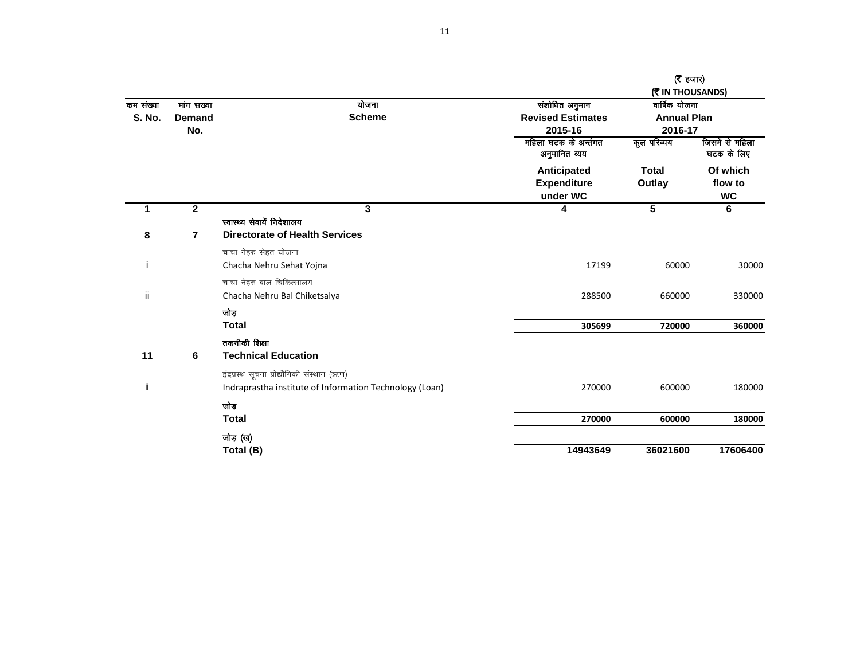|               |               |                                                         |                                        | (रै $\tau$ हजार)   |                               |
|---------------|---------------|---------------------------------------------------------|----------------------------------------|--------------------|-------------------------------|
|               |               |                                                         |                                        | (M) THOUSANDS)     |                               |
| कम संख्या     | गांग सख्या    | योजना                                                   | संशोधित अनुमान                         | वार्षिक योजना      |                               |
| <b>S. No.</b> | <b>Demand</b> | <b>Scheme</b>                                           | <b>Revised Estimates</b>               | <b>Annual Plan</b> |                               |
|               | No.           |                                                         | 2015-16                                | 2016-17            |                               |
|               |               |                                                         | महिला घटक के अर्न्तगत<br>अनुमानित व्यय | कुल परिव्यय        | जिसमें से महिला<br>घटक के लिए |
|               |               |                                                         | Anticipated                            | <b>Total</b>       | Of which                      |
|               |               |                                                         | <b>Expenditure</b>                     | Outlay             | flow to                       |
|               |               |                                                         | under WC                               |                    | <b>WC</b>                     |
| 1             | $\mathbf{2}$  | 3                                                       | 4                                      | 5                  | 6                             |
|               |               | स्वास्थ्य सेवायें निदेशालय                              |                                        |                    |                               |
| 8             | 7             | <b>Directorate of Health Services</b>                   |                                        |                    |                               |
|               |               | चाचा नेहरु सेहत योजना                                   |                                        |                    |                               |
|               |               | Chacha Nehru Sehat Yojna                                | 17199                                  | 60000              | 30000                         |
|               |               | चाचा नेहरु बाल चिकित्सालय                               |                                        |                    |                               |
| ij            |               | Chacha Nehru Bal Chiketsalya                            | 288500                                 | 660000             | 330000                        |
|               |               | जोड़                                                    |                                        |                    |                               |
|               |               | <b>Total</b>                                            | 305699                                 | 720000             | 360000                        |
|               |               | तकनीकी शिक्षा                                           |                                        |                    |                               |
| 11            | 6             | <b>Technical Education</b>                              |                                        |                    |                               |
|               |               | इंद्रप्रस्थ सूचना प्रोद्यौगिकी संस्थान (ऋण)             |                                        |                    |                               |
|               |               | Indraprastha institute of Information Technology (Loan) | 270000                                 | 600000             | 180000                        |
|               |               | जोड़                                                    |                                        |                    |                               |
|               |               | <b>Total</b>                                            | 270000                                 | 600000             | 180000                        |
|               |               | जोड़ (ख)                                                |                                        |                    |                               |
|               |               | Total (B)                                               | 14943649                               | 36021600           | 17606400                      |